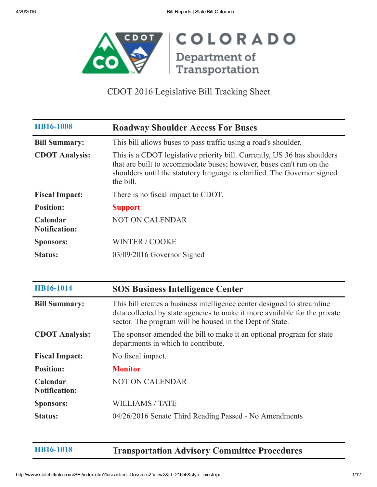

| <b>HB16-1008</b>                 | <b>Roadway Shoulder Access For Buses</b>                                                                                                                                                                                                  |
|----------------------------------|-------------------------------------------------------------------------------------------------------------------------------------------------------------------------------------------------------------------------------------------|
| <b>Bill Summary:</b>             | This bill allows buses to pass traffic using a road's shoulder.                                                                                                                                                                           |
| <b>CDOT</b> Analysis:            | This is a CDOT legislative priority bill. Currently, US 36 has shoulders<br>that are built to accommodate buses; however, buses can't run on the<br>shoulders until the statutory language is clarified. The Governor signed<br>the bill. |
| <b>Fiscal Impact:</b>            | There is no fiscal impact to CDOT.                                                                                                                                                                                                        |
| <b>Position:</b>                 | <b>Support</b>                                                                                                                                                                                                                            |
| Calendar<br><b>Notification:</b> | <b>NOT ON CALENDAR</b>                                                                                                                                                                                                                    |
| <b>Sponsors:</b>                 | <b>WINTER / COOKE</b>                                                                                                                                                                                                                     |
| <b>Status:</b>                   | 03/09/2016 Governor Signed                                                                                                                                                                                                                |

| HB16-1014                        | <b>SOS Business Intelligence Center</b>                                                                                                                                                                           |
|----------------------------------|-------------------------------------------------------------------------------------------------------------------------------------------------------------------------------------------------------------------|
| <b>Bill Summary:</b>             | This bill creates a business intelligence center designed to streamline<br>data collected by state agencies to make it more available for the private<br>sector. The program will be housed in the Dept of State. |
| <b>CDOT</b> Analysis:            | The sponsor amended the bill to make it an optional program for state<br>departments in which to contribute.                                                                                                      |
| <b>Fiscal Impact:</b>            | No fiscal impact.                                                                                                                                                                                                 |
| <b>Position:</b>                 | <b>Monitor</b>                                                                                                                                                                                                    |
| Calendar<br><b>Notification:</b> | <b>NOT ON CALENDAR</b>                                                                                                                                                                                            |
| <b>Sponsors:</b>                 | <b>WILLIAMS / TATE</b>                                                                                                                                                                                            |
| <b>Status:</b>                   | 04/26/2016 Senate Third Reading Passed - No Amendments                                                                                                                                                            |

[HB161018](http://www.statebillinfo.com/SBI/index.cfm?fuseaction=Bills.View&billnum=HB16-1018) Transportation Advisory Committee Procedures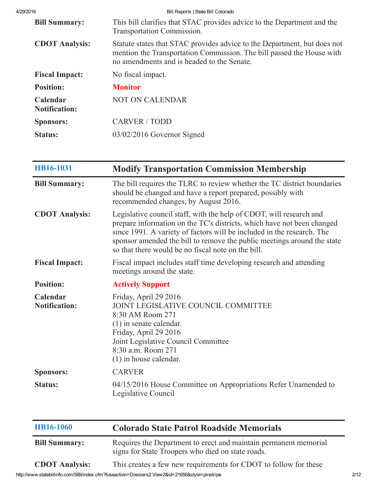| 4/29/2016 |                                  | Bill Reports   State Bill Colorado                                                                                                                                                              |
|-----------|----------------------------------|-------------------------------------------------------------------------------------------------------------------------------------------------------------------------------------------------|
|           | <b>Bill Summary:</b>             | This bill clarifies that STAC provides advice to the Department and the<br>Transportation Commission.                                                                                           |
|           | <b>CDOT</b> Analysis:            | Statute states that STAC provides advice to the Department, but does not<br>mention the Transportation Commission. The bill passed the House with<br>no amendments and is headed to the Senate. |
|           | <b>Fiscal Impact:</b>            | No fiscal impact.                                                                                                                                                                               |
|           | <b>Position:</b>                 | <b>Monitor</b>                                                                                                                                                                                  |
|           | Calendar<br><b>Notification:</b> | <b>NOT ON CALENDAR</b>                                                                                                                                                                          |
|           | <b>Sponsors:</b>                 | <b>CARVER / TODD</b>                                                                                                                                                                            |
|           | <b>Status:</b>                   | $03/02/2016$ Governor Signed                                                                                                                                                                    |

| HB16-1031                        | <b>Modify Transportation Commission Membership</b>                                                                                                                                                                                                                                                                                                       |
|----------------------------------|----------------------------------------------------------------------------------------------------------------------------------------------------------------------------------------------------------------------------------------------------------------------------------------------------------------------------------------------------------|
| <b>Bill Summary:</b>             | The bill requires the TLRC to review whether the TC district boundaries<br>should be changed and have a report prepared, possibly with<br>recommended changes, by August 2016.                                                                                                                                                                           |
| <b>CDOT</b> Analysis:            | Legislative council staff, with the help of CDOT, will research and<br>prepare information on the TC's districts, which have not been changed<br>since 1991. A variety of factors will be included in the research. The<br>sponsor amended the bill to remove the public meetings around the state<br>so that there would be no fiscal note on the bill. |
| <b>Fiscal Impact:</b>            | Fiscal impact includes staff time developing research and attending<br>meetings around the state.                                                                                                                                                                                                                                                        |
| <b>Position:</b>                 | <b>Actively Support</b>                                                                                                                                                                                                                                                                                                                                  |
| Calendar<br><b>Notification:</b> | Friday, April 29 2016<br>JOINT LEGISLATIVE COUNCIL COMMITTEE<br>8:30 AM Room 271<br>$(1)$ in senate calendar.<br>Friday, April 29 2016<br>Joint Legislative Council Committee<br>8:30 a.m. Room 271<br>$(1)$ in house calendar.                                                                                                                          |
| <b>Sponsors:</b>                 | <b>CARVER</b>                                                                                                                                                                                                                                                                                                                                            |
| <b>Status:</b>                   | 04/15/2016 House Committee on Appropriations Refer Unamended to<br>Legislative Council                                                                                                                                                                                                                                                                   |

| <b>HB16-1060</b>      | <b>Colorado State Patrol Roadside Memorials</b>                                                                       |
|-----------------------|-----------------------------------------------------------------------------------------------------------------------|
| <b>Bill Summary:</b>  | Requires the Department to erect and maintain permanent memorial<br>signs for State Troopers who died on state roads. |
| <b>CDOT Analysis:</b> | This creates a few new requirements for CDOT to follow for these                                                      |

http://www.statebillinfo.com/SBI/index.cfm?fuseaction=Dossiers2.View2&id=21656&style=pinstripe 2/12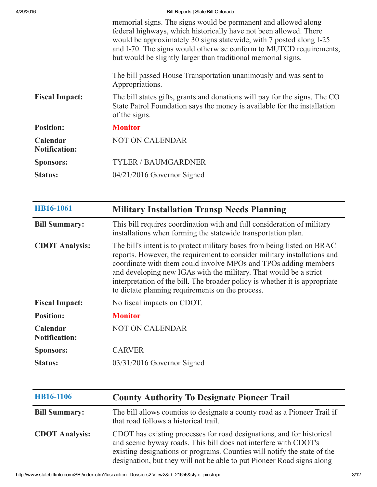| 4/29/2016                        | Bill Reports   State Bill Colorado                                                                                                                                                                                                                                                                                                                |  |
|----------------------------------|---------------------------------------------------------------------------------------------------------------------------------------------------------------------------------------------------------------------------------------------------------------------------------------------------------------------------------------------------|--|
|                                  | memorial signs. The signs would be permanent and allowed along<br>federal highways, which historically have not been allowed. There<br>would be approximately 30 signs statewide, with 7 posted along I-25<br>and I-70. The signs would otherwise conform to MUTCD requirements,<br>but would be slightly larger than traditional memorial signs. |  |
|                                  | The bill passed House Transportation unanimously and was sent to<br>Appropriations.                                                                                                                                                                                                                                                               |  |
| <b>Fiscal Impact:</b>            | The bill states gifts, grants and donations will pay for the signs. The CO<br>State Patrol Foundation says the money is available for the installation<br>of the signs.                                                                                                                                                                           |  |
| <b>Position:</b>                 | <b>Monitor</b>                                                                                                                                                                                                                                                                                                                                    |  |
| Calendar<br><b>Notification:</b> | <b>NOT ON CALENDAR</b>                                                                                                                                                                                                                                                                                                                            |  |
| <b>Sponsors:</b>                 | <b>TYLER / BAUMGARDNER</b>                                                                                                                                                                                                                                                                                                                        |  |
| <b>Status:</b>                   | $04/21/2016$ Governor Signed                                                                                                                                                                                                                                                                                                                      |  |

| HB16-1061                        | <b>Military Installation Transp Needs Planning</b>                                                                                                                                                                                                                                                                                                                                                                              |
|----------------------------------|---------------------------------------------------------------------------------------------------------------------------------------------------------------------------------------------------------------------------------------------------------------------------------------------------------------------------------------------------------------------------------------------------------------------------------|
| <b>Bill Summary:</b>             | This bill requires coordination with and full consideration of military<br>installations when forming the statewide transportation plan.                                                                                                                                                                                                                                                                                        |
| <b>CDOT</b> Analysis:            | The bill's intent is to protect military bases from being listed on BRAC<br>reports. However, the requirement to consider military installations and<br>coordinate with them could involve MPOs and TPOs adding members<br>and developing new IGAs with the military. That would be a strict<br>interpretation of the bill. The broader policy is whether it is appropriate<br>to dictate planning requirements on the process. |
| <b>Fiscal Impact:</b>            | No fiscal impacts on CDOT.                                                                                                                                                                                                                                                                                                                                                                                                      |
| <b>Position:</b>                 | <b>Monitor</b>                                                                                                                                                                                                                                                                                                                                                                                                                  |
| Calendar<br><b>Notification:</b> | <b>NOT ON CALENDAR</b>                                                                                                                                                                                                                                                                                                                                                                                                          |
| <b>Sponsors:</b>                 | <b>CARVER</b>                                                                                                                                                                                                                                                                                                                                                                                                                   |
| <b>Status:</b>                   | $03/31/2016$ Governor Signed                                                                                                                                                                                                                                                                                                                                                                                                    |

| HB16-1106             | <b>County Authority To Designate Pioneer Trail</b>                                                                                                                                                                                                                                              |
|-----------------------|-------------------------------------------------------------------------------------------------------------------------------------------------------------------------------------------------------------------------------------------------------------------------------------------------|
| <b>Bill Summary:</b>  | The bill allows counties to designate a county road as a Pioneer Trail if<br>that road follows a historical trail.                                                                                                                                                                              |
| <b>CDOT Analysis:</b> | CDOT has existing processes for road designations, and for historical<br>and scenic byway roads. This bill does not interfere with CDOT's<br>existing designations or programs. Counties will notify the state of the<br>designation, but they will not be able to put Pioneer Road signs along |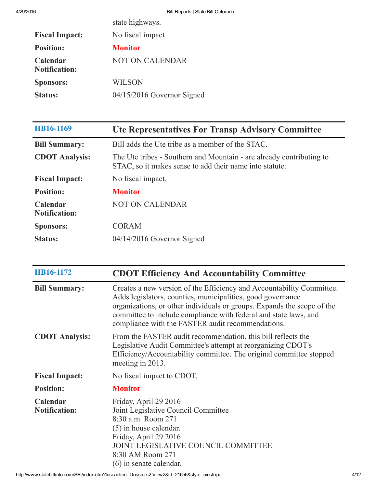|                                  | state highways.            |
|----------------------------------|----------------------------|
| <b>Fiscal Impact:</b>            | No fiscal impact           |
| <b>Position:</b>                 | <b>Monitor</b>             |
| Calendar<br><b>Notification:</b> | <b>NOT ON CALENDAR</b>     |
| <b>Sponsors:</b>                 | <b>WILSON</b>              |
| <b>Status:</b>                   | 04/15/2016 Governor Signed |
|                                  |                            |

| HB16-1169                        | <b>Ute Representatives For Transp Advisory Committee</b>                                                                        |
|----------------------------------|---------------------------------------------------------------------------------------------------------------------------------|
| <b>Bill Summary:</b>             | Bill adds the Ute tribe as a member of the STAC.                                                                                |
| <b>CDOT Analysis:</b>            | The Ute tribes - Southern and Mountain - are already contributing to<br>STAC, so it makes sense to add their name into statute. |
| <b>Fiscal Impact:</b>            | No fiscal impact.                                                                                                               |
| <b>Position:</b>                 | <b>Monitor</b>                                                                                                                  |
| Calendar<br><b>Notification:</b> | <b>NOT ON CALENDAR</b>                                                                                                          |
| <b>Sponsors:</b>                 | <b>CORAM</b>                                                                                                                    |
| <b>Status:</b>                   | $04/14/2016$ Governor Signed                                                                                                    |

| HB16-1172                        | <b>CDOT Efficiency And Accountability Committee</b>                                                                                                                                                                                                                                                                                      |
|----------------------------------|------------------------------------------------------------------------------------------------------------------------------------------------------------------------------------------------------------------------------------------------------------------------------------------------------------------------------------------|
| <b>Bill Summary:</b>             | Creates a new version of the Efficiency and Accountability Committee.<br>Adds legislators, counties, municipalities, good governance<br>organizations, or other individuals or groups. Expands the scope of the<br>committee to include compliance with federal and state laws, and<br>compliance with the FASTER audit recommendations. |
| <b>CDOT</b> Analysis:            | From the FASTER audit recommendation, this bill reflects the<br>Legislative Audit Committee's attempt at reorganizing CDOT's<br>Efficiency/Accountability committee. The original committee stopped<br>meeting in 2013.                                                                                                                  |
| <b>Fiscal Impact:</b>            | No fiscal impact to CDOT.                                                                                                                                                                                                                                                                                                                |
| <b>Position:</b>                 | <b>Monitor</b>                                                                                                                                                                                                                                                                                                                           |
| Calendar<br><b>Notification:</b> | Friday, April 29 2016<br>Joint Legislative Council Committee<br>8:30 a.m. Room 271<br>(5) in house calendar.<br>Friday, April 29 2016<br>JOINT LEGISLATIVE COUNCIL COMMITTEE<br>8:30 AM Room 271<br>$(6)$ in senate calendar.                                                                                                            |

 $\overline{\phantom{0}}$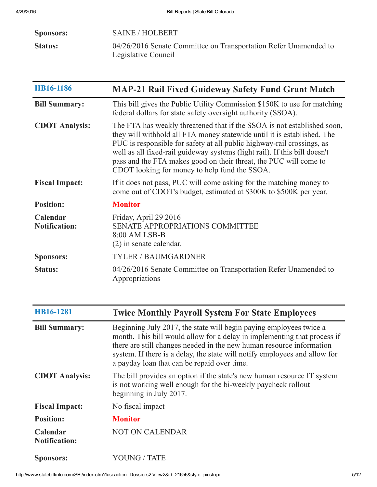| <b>Sponsors:</b> | <b>SAINE / HOLBERT</b>                                                                  |
|------------------|-----------------------------------------------------------------------------------------|
| <b>Status:</b>   | 04/26/2016 Senate Committee on Transportation Refer Unamended to<br>Legislative Council |

| HB16-1186                        | <b>MAP-21 Rail Fixed Guideway Safety Fund Grant Match</b>                                                                                                                                                                                                                                                                                                                                                                        |
|----------------------------------|----------------------------------------------------------------------------------------------------------------------------------------------------------------------------------------------------------------------------------------------------------------------------------------------------------------------------------------------------------------------------------------------------------------------------------|
| <b>Bill Summary:</b>             | This bill gives the Public Utility Commission \$150K to use for matching<br>federal dollars for state safety oversight authority (SSOA).                                                                                                                                                                                                                                                                                         |
| <b>CDOT Analysis:</b>            | The FTA has weakly threatened that if the SSOA is not established soon,<br>they will withhold all FTA money statewide until it is established. The<br>PUC is responsible for safety at all public highway-rail crossings, as<br>well as all fixed-rail guideway systems (light rail). If this bill doesn't<br>pass and the FTA makes good on their threat, the PUC will come to<br>CDOT looking for money to help fund the SSOA. |
| <b>Fiscal Impact:</b>            | If it does not pass, PUC will come asking for the matching money to<br>come out of CDOT's budget, estimated at \$300K to \$500K per year.                                                                                                                                                                                                                                                                                        |
| <b>Position:</b>                 | <b>Monitor</b>                                                                                                                                                                                                                                                                                                                                                                                                                   |
| Calendar<br><b>Notification:</b> | Friday, April 29 2016<br><b>SENATE APPROPRIATIONS COMMITTEE</b><br>8:00 AM LSB-B<br>$(2)$ in senate calendar.                                                                                                                                                                                                                                                                                                                    |
| <b>Sponsors:</b>                 | <b>TYLER / BAUMGARDNER</b>                                                                                                                                                                                                                                                                                                                                                                                                       |
| <b>Status:</b>                   | 04/26/2016 Senate Committee on Transportation Refer Unamended to<br>Appropriations                                                                                                                                                                                                                                                                                                                                               |

| HB16-1281                        | <b>Twice Monthly Payroll System For State Employees</b>                                                                                                                                                                                                                                                                                             |
|----------------------------------|-----------------------------------------------------------------------------------------------------------------------------------------------------------------------------------------------------------------------------------------------------------------------------------------------------------------------------------------------------|
| <b>Bill Summary:</b>             | Beginning July 2017, the state will begin paying employees twice a<br>month. This bill would allow for a delay in implementing that process if<br>there are still changes needed in the new human resource information<br>system. If there is a delay, the state will notify employees and allow for<br>a payday loan that can be repaid over time. |
| <b>CDOT</b> Analysis:            | The bill provides an option if the state's new human resource IT system<br>is not working well enough for the bi-weekly paycheck rollout<br>beginning in July 2017.                                                                                                                                                                                 |
| <b>Fiscal Impact:</b>            | No fiscal impact                                                                                                                                                                                                                                                                                                                                    |
| <b>Position:</b>                 | <b>Monitor</b>                                                                                                                                                                                                                                                                                                                                      |
| Calendar<br><b>Notification:</b> | <b>NOT ON CALENDAR</b>                                                                                                                                                                                                                                                                                                                              |
| <b>Sponsors:</b>                 | YOUNG / TATE                                                                                                                                                                                                                                                                                                                                        |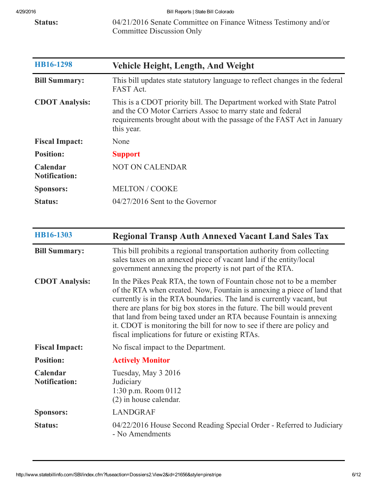4/29/2016 Bill Reports | State Bill Colorado

Status: 04/21/2016 Senate Committee on Finance Witness Testimony and/or Committee Discussion Only

| HB16-1298                        | <b>Vehicle Height, Length, And Weight</b>                                                                                                                                                                                   |
|----------------------------------|-----------------------------------------------------------------------------------------------------------------------------------------------------------------------------------------------------------------------------|
| <b>Bill Summary:</b>             | This bill updates state statutory language to reflect changes in the federal<br><b>FAST Act.</b>                                                                                                                            |
| <b>CDOT Analysis:</b>            | This is a CDOT priority bill. The Department worked with State Patrol<br>and the CO Motor Carriers Assoc to marry state and federal<br>requirements brought about with the passage of the FAST Act in January<br>this year. |
| <b>Fiscal Impact:</b>            | None                                                                                                                                                                                                                        |
| <b>Position:</b>                 | <b>Support</b>                                                                                                                                                                                                              |
| Calendar<br><b>Notification:</b> | <b>NOT ON CALENDAR</b>                                                                                                                                                                                                      |
| <b>Sponsors:</b>                 | <b>MELTON / COOKE</b>                                                                                                                                                                                                       |
| <b>Status:</b>                   | $04/27/2016$ Sent to the Governor                                                                                                                                                                                           |

| HB16-1303                        | <b>Regional Transp Auth Annexed Vacant Land Sales Tax</b>                                                                                                                                                                                                                                                                                                                                                                                                                                                  |
|----------------------------------|------------------------------------------------------------------------------------------------------------------------------------------------------------------------------------------------------------------------------------------------------------------------------------------------------------------------------------------------------------------------------------------------------------------------------------------------------------------------------------------------------------|
| <b>Bill Summary:</b>             | This bill prohibits a regional transportation authority from collecting<br>sales taxes on an annexed piece of vacant land if the entity/local<br>government annexing the property is not part of the RTA.                                                                                                                                                                                                                                                                                                  |
| <b>CDOT</b> Analysis:            | In the Pikes Peak RTA, the town of Fountain chose not to be a member<br>of the RTA when created. Now, Fountain is annexing a piece of land that<br>currently is in the RTA boundaries. The land is currently vacant, but<br>there are plans for big box stores in the future. The bill would prevent<br>that land from being taxed under an RTA because Fountain is annexing<br>it. CDOT is monitoring the bill for now to see if there are policy and<br>fiscal implications for future or existing RTAs. |
| <b>Fiscal Impact:</b>            | No fiscal impact to the Department.                                                                                                                                                                                                                                                                                                                                                                                                                                                                        |
| <b>Position:</b>                 | <b>Actively Monitor</b>                                                                                                                                                                                                                                                                                                                                                                                                                                                                                    |
| Calendar<br><b>Notification:</b> | Tuesday, May 3 2016<br>Judiciary<br>1:30 p.m. Room $0112$<br>$(2)$ in house calendar.                                                                                                                                                                                                                                                                                                                                                                                                                      |
| <b>Sponsors:</b>                 | <b>LANDGRAF</b>                                                                                                                                                                                                                                                                                                                                                                                                                                                                                            |
| <b>Status:</b>                   | 04/22/2016 House Second Reading Special Order - Referred to Judiciary<br>- No Amendments                                                                                                                                                                                                                                                                                                                                                                                                                   |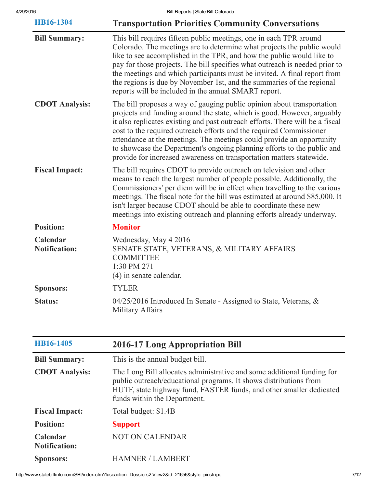| HB16-1304                        | <b>Transportation Priorities Community Conversations</b>                                                                                                                                                                                                                                                                                                                                                                                                                                                                              |
|----------------------------------|---------------------------------------------------------------------------------------------------------------------------------------------------------------------------------------------------------------------------------------------------------------------------------------------------------------------------------------------------------------------------------------------------------------------------------------------------------------------------------------------------------------------------------------|
| <b>Bill Summary:</b>             | This bill requires fifteen public meetings, one in each TPR around<br>Colorado. The meetings are to determine what projects the public would<br>like to see accomplished in the TPR, and how the public would like to<br>pay for those projects. The bill specifies what outreach is needed prior to<br>the meetings and which participants must be invited. A final report from<br>the regions is due by November 1st, and the summaries of the regional<br>reports will be included in the annual SMART report.                     |
| <b>CDOT Analysis:</b>            | The bill proposes a way of gauging public opinion about transportation<br>projects and funding around the state, which is good. However, arguably<br>it also replicates existing and past outreach efforts. There will be a fiscal<br>cost to the required outreach efforts and the required Commissioner<br>attendance at the meetings. The meetings could provide an opportunity<br>to showcase the Department's ongoing planning efforts to the public and<br>provide for increased awareness on transportation matters statewide. |
| <b>Fiscal Impact:</b>            | The bill requires CDOT to provide outreach on television and other<br>means to reach the largest number of people possible. Additionally, the<br>Commissioners' per diem will be in effect when travelling to the various<br>meetings. The fiscal note for the bill was estimated at around \$85,000. It<br>isn't larger because CDOT should be able to coordinate these new<br>meetings into existing outreach and planning efforts already underway.                                                                                |
| <b>Position:</b>                 | <b>Monitor</b>                                                                                                                                                                                                                                                                                                                                                                                                                                                                                                                        |
| Calendar<br><b>Notification:</b> | Wednesday, May 4 2016<br>SENATE STATE, VETERANS, & MILITARY AFFAIRS<br><b>COMMITTEE</b><br>1:30 PM 271<br>$(4)$ in senate calendar.                                                                                                                                                                                                                                                                                                                                                                                                   |
| <b>Sponsors:</b>                 | <b>TYLER</b>                                                                                                                                                                                                                                                                                                                                                                                                                                                                                                                          |
| <b>Status:</b>                   | 04/25/2016 Introduced In Senate - Assigned to State, Veterans, &<br>Military Affairs                                                                                                                                                                                                                                                                                                                                                                                                                                                  |

| HB16-1405                               | <b>2016-17 Long Appropriation Bill</b>                                                                                                                                                                                                             |
|-----------------------------------------|----------------------------------------------------------------------------------------------------------------------------------------------------------------------------------------------------------------------------------------------------|
| <b>Bill Summary:</b>                    | This is the annual budget bill.                                                                                                                                                                                                                    |
| <b>CDOT</b> Analysis:                   | The Long Bill allocates administrative and some additional funding for<br>public outreach/educational programs. It shows distributions from<br>HUTF, state highway fund, FASTER funds, and other smaller dedicated<br>funds within the Department. |
| <b>Fiscal Impact:</b>                   | Total budget: \$1.4B                                                                                                                                                                                                                               |
| <b>Position:</b>                        | <b>Support</b>                                                                                                                                                                                                                                     |
| <b>Calendar</b><br><b>Notification:</b> | <b>NOT ON CALENDAR</b>                                                                                                                                                                                                                             |
| <b>Sponsors:</b>                        | <b>HAMNER / LAMBERT</b>                                                                                                                                                                                                                            |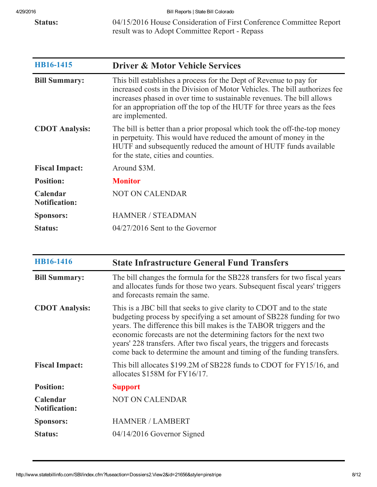Status: 04/15/2016 House Consideration of First Conference Committee Report result was to Adopt Committee Report Repass

| HB16-1415                        | <b>Driver &amp; Motor Vehicle Services</b>                                                                                                                                                                                                                                                                                 |
|----------------------------------|----------------------------------------------------------------------------------------------------------------------------------------------------------------------------------------------------------------------------------------------------------------------------------------------------------------------------|
| <b>Bill Summary:</b>             | This bill establishes a process for the Dept of Revenue to pay for<br>increased costs in the Division of Motor Vehicles. The bill authorizes fee<br>increases phased in over time to sustainable revenues. The bill allows<br>for an appropriation off the top of the HUTF for three years as the fees<br>are implemented. |
| <b>CDOT</b> Analysis:            | The bill is better than a prior proposal which took the off-the-top money<br>in perpetuity. This would have reduced the amount of money in the<br>HUTF and subsequently reduced the amount of HUTF funds available<br>for the state, cities and counties.                                                                  |
| <b>Fiscal Impact:</b>            | Around \$3M.                                                                                                                                                                                                                                                                                                               |
| <b>Position:</b>                 | <b>Monitor</b>                                                                                                                                                                                                                                                                                                             |
| Calendar<br><b>Notification:</b> | <b>NOT ON CALENDAR</b>                                                                                                                                                                                                                                                                                                     |
| <b>Sponsors:</b>                 | <b>HAMNER / STEADMAN</b>                                                                                                                                                                                                                                                                                                   |
| <b>Status:</b>                   | $04/27/2016$ Sent to the Governor                                                                                                                                                                                                                                                                                          |

| HB16-1416                        | <b>State Infrastructure General Fund Transfers</b>                                                                                                                                                                                                                                                                                                                                                                                                  |
|----------------------------------|-----------------------------------------------------------------------------------------------------------------------------------------------------------------------------------------------------------------------------------------------------------------------------------------------------------------------------------------------------------------------------------------------------------------------------------------------------|
| <b>Bill Summary:</b>             | The bill changes the formula for the SB228 transfers for two fiscal years<br>and allocates funds for those two years. Subsequent fiscal years' triggers<br>and forecasts remain the same.                                                                                                                                                                                                                                                           |
| <b>CDOT</b> Analysis:            | This is a JBC bill that seeks to give clarity to CDOT and to the state<br>budgeting process by specifying a set amount of SB228 funding for two<br>years. The difference this bill makes is the TABOR triggers and the<br>economic forecasts are not the determining factors for the next two<br>years' 228 transfers. After two fiscal years, the triggers and forecasts<br>come back to determine the amount and timing of the funding transfers. |
| <b>Fiscal Impact:</b>            | This bill allocates \$199.2M of SB228 funds to CDOT for FY15/16, and<br>allocates $$158M$ for $FY16/17$ .                                                                                                                                                                                                                                                                                                                                           |
| <b>Position:</b>                 | <b>Support</b>                                                                                                                                                                                                                                                                                                                                                                                                                                      |
| Calendar<br><b>Notification:</b> | <b>NOT ON CALENDAR</b>                                                                                                                                                                                                                                                                                                                                                                                                                              |
| <b>Sponsors:</b>                 | <b>HAMNER / LAMBERT</b>                                                                                                                                                                                                                                                                                                                                                                                                                             |
| <b>Status:</b>                   | 04/14/2016 Governor Signed                                                                                                                                                                                                                                                                                                                                                                                                                          |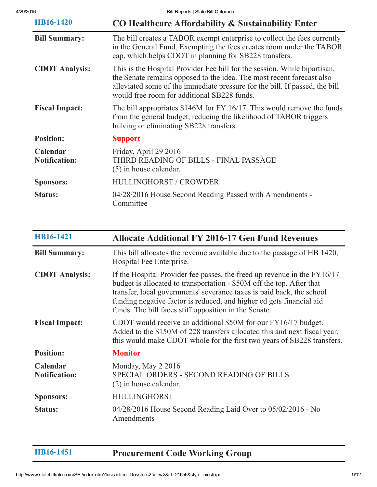| HB16-1420                        | CO Healthcare Affordability & Sustainability Enter                                                                                                                                                                                                                               |
|----------------------------------|----------------------------------------------------------------------------------------------------------------------------------------------------------------------------------------------------------------------------------------------------------------------------------|
| <b>Bill Summary:</b>             | The bill creates a TABOR exempt enterprise to collect the fees currently<br>in the General Fund. Exempting the fees creates room under the TABOR<br>cap, which helps CDOT in planning for SB228 transfers.                                                                       |
| <b>CDOT</b> Analysis:            | This is the Hospital Provider Fee bill for the session. While bipartisan,<br>the Senate remains opposed to the idea. The most recent forecast also<br>alleviated some of the immediate pressure for the bill. If passed, the bill<br>would free room for additional SB228 funds. |
| <b>Fiscal Impact:</b>            | The bill appropriates \$146M for FY 16/17. This would remove the funds<br>from the general budget, reducing the likelihood of TABOR triggers<br>halving or eliminating SB228 transfers.                                                                                          |
| <b>Position:</b>                 | <b>Support</b>                                                                                                                                                                                                                                                                   |
| Calendar<br><b>Notification:</b> | Friday, April 29 2016<br>THIRD READING OF BILLS - FINAL PASSAGE<br>$(5)$ in house calendar.                                                                                                                                                                                      |
| <b>Sponsors:</b>                 | HULLINGHORST / CROWDER                                                                                                                                                                                                                                                           |
| <b>Status:</b>                   | 04/28/2016 House Second Reading Passed with Amendments -<br>Committee                                                                                                                                                                                                            |

| HB16-1421                        | <b>Allocate Additional FY 2016-17 Gen Fund Revenues</b>                                                                                                                                                                                                                                                                                                     |
|----------------------------------|-------------------------------------------------------------------------------------------------------------------------------------------------------------------------------------------------------------------------------------------------------------------------------------------------------------------------------------------------------------|
| <b>Bill Summary:</b>             | This bill allocates the revenue available due to the passage of HB 1420,<br>Hospital Fee Enterprise.                                                                                                                                                                                                                                                        |
| <b>CDOT</b> Analysis:            | If the Hospital Provider fee passes, the freed up revenue in the FY16/17<br>budget is allocated to transportation - \$50M off the top. After that<br>transfer, local governments' severance taxes is paid back, the school<br>funding negative factor is reduced, and higher ed gets financial aid<br>funds. The bill faces stiff opposition in the Senate. |
| <b>Fiscal Impact:</b>            | CDOT would receive an additional \$50M for our FY16/17 budget.<br>Added to the \$150M of 228 transfers allocated this and next fiscal year,<br>this would make CDOT whole for the first two years of SB228 transfers.                                                                                                                                       |
| <b>Position:</b>                 | <b>Monitor</b>                                                                                                                                                                                                                                                                                                                                              |
| Calendar<br><b>Notification:</b> | Monday, May 2 2016<br>SPECIAL ORDERS - SECOND READING OF BILLS<br>$(2)$ in house calendar.                                                                                                                                                                                                                                                                  |
| <b>Sponsors:</b>                 | <b>HULLINGHORST</b>                                                                                                                                                                                                                                                                                                                                         |
| <b>Status:</b>                   | 04/28/2016 House Second Reading Laid Over to 05/02/2016 - No<br>Amendments                                                                                                                                                                                                                                                                                  |

[HB161451](http://www.statebillinfo.com/SBI/index.cfm?fuseaction=Bills.View&billnum=HB16-1451) Procurement Code Working Group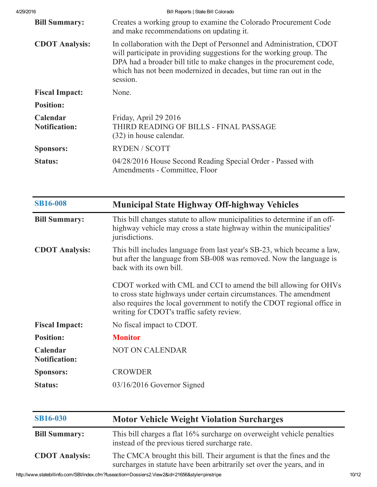| 4/29/2016                        | Bill Reports   State Bill Colorado                                                                                                                                                                                                                                                                     |
|----------------------------------|--------------------------------------------------------------------------------------------------------------------------------------------------------------------------------------------------------------------------------------------------------------------------------------------------------|
| <b>Bill Summary:</b>             | Creates a working group to examine the Colorado Procurement Code<br>and make recommendations on updating it.                                                                                                                                                                                           |
| <b>CDOT</b> Analysis:            | In collaboration with the Dept of Personnel and Administration, CDOT<br>will participate in providing suggestions for the working group. The<br>DPA had a broader bill title to make changes in the procurement code,<br>which has not been modernized in decades, but time ran out in the<br>session. |
| <b>Fiscal Impact:</b>            | None.                                                                                                                                                                                                                                                                                                  |
| <b>Position:</b>                 |                                                                                                                                                                                                                                                                                                        |
| Calendar<br><b>Notification:</b> | Friday, April 29 2016<br>THIRD READING OF BILLS - FINAL PASSAGE<br>(32) in house calendar.                                                                                                                                                                                                             |
| <b>Sponsors:</b>                 | <b>RYDEN/SCOTT</b>                                                                                                                                                                                                                                                                                     |
| <b>Status:</b>                   | 04/28/2016 House Second Reading Special Order - Passed with<br>Amendments - Committee, Floor                                                                                                                                                                                                           |

| <b>SB16-008</b>                  | <b>Municipal State Highway Off-highway Vehicles</b>                                                                                                                                                                                                             |
|----------------------------------|-----------------------------------------------------------------------------------------------------------------------------------------------------------------------------------------------------------------------------------------------------------------|
| <b>Bill Summary:</b>             | This bill changes statute to allow municipalities to determine if an off-<br>highway vehicle may cross a state highway within the municipalities'<br>jurisdictions.                                                                                             |
| <b>CDOT</b> Analysis:            | This bill includes language from last year's SB-23, which became a law,<br>but after the language from SB-008 was removed. Now the language is<br>back with its own bill.                                                                                       |
|                                  | CDOT worked with CML and CCI to amend the bill allowing for OHVs<br>to cross state highways under certain circumstances. The amendment<br>also requires the local government to notify the CDOT regional office in<br>writing for CDOT's traffic safety review. |
| <b>Fiscal Impact:</b>            | No fiscal impact to CDOT.                                                                                                                                                                                                                                       |
| <b>Position:</b>                 | <b>Monitor</b>                                                                                                                                                                                                                                                  |
| Calendar<br><b>Notification:</b> | <b>NOT ON CALENDAR</b>                                                                                                                                                                                                                                          |
| <b>Sponsors:</b>                 | <b>CROWDER</b>                                                                                                                                                                                                                                                  |
| <b>Status:</b>                   | 03/16/2016 Governor Signed                                                                                                                                                                                                                                      |

| <b>SB16-030</b>       | <b>Motor Vehicle Weight Violation Surcharges</b>                                                                                               |       |
|-----------------------|------------------------------------------------------------------------------------------------------------------------------------------------|-------|
| <b>Bill Summary:</b>  | This bill charges a flat 16% surcharge on overweight vehicle penalties<br>instead of the previous tiered surcharge rate.                       |       |
| <b>CDOT Analysis:</b> | The CMCA brought this bill. Their argument is that the fines and the<br>surcharges in statute have been arbitrarily set over the years, and in |       |
|                       | http://www.statebillinfo.com/SBI/index.cfm?fuseaction=Dossiers2.View2&id=21656&style=pinstripe                                                 | 10/12 |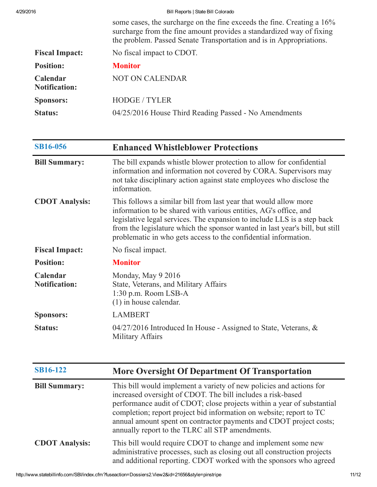| 4/29/2016                        | Bill Reports   State Bill Colorado                                                                                                                                                                                    |
|----------------------------------|-----------------------------------------------------------------------------------------------------------------------------------------------------------------------------------------------------------------------|
|                                  | some cases, the surcharge on the fine exceeds the fine. Creating a 16%<br>surcharge from the fine amount provides a standardized way of fixing<br>the problem. Passed Senate Transportation and is in Appropriations. |
| <b>Fiscal Impact:</b>            | No fiscal impact to CDOT.                                                                                                                                                                                             |
| <b>Position:</b>                 | <b>Monitor</b>                                                                                                                                                                                                        |
| Calendar<br><b>Notification:</b> | <b>NOT ON CALENDAR</b>                                                                                                                                                                                                |
| <b>Sponsors:</b>                 | <b>HODGE / TYLER</b>                                                                                                                                                                                                  |
| <b>Status:</b>                   | 04/25/2016 House Third Reading Passed - No Amendments                                                                                                                                                                 |

| <b>SB16-056</b>                  | <b>Enhanced Whistleblower Protections</b>                                                                                                                                                                                                                                                                                                                          |
|----------------------------------|--------------------------------------------------------------------------------------------------------------------------------------------------------------------------------------------------------------------------------------------------------------------------------------------------------------------------------------------------------------------|
| <b>Bill Summary:</b>             | The bill expands whistle blower protection to allow for confidential<br>information and information not covered by CORA. Supervisors may<br>not take disciplinary action against state employees who disclose the<br>information.                                                                                                                                  |
| <b>CDOT</b> Analysis:            | This follows a similar bill from last year that would allow more<br>information to be shared with various entities, AG's office, and<br>legislative legal services. The expansion to include LLS is a step back<br>from the legislature which the sponsor wanted in last year's bill, but still<br>problematic in who gets access to the confidential information. |
| <b>Fiscal Impact:</b>            | No fiscal impact.                                                                                                                                                                                                                                                                                                                                                  |
| <b>Position:</b>                 | <b>Monitor</b>                                                                                                                                                                                                                                                                                                                                                     |
| Calendar<br><b>Notification:</b> | Monday, May 9 2016<br>State, Veterans, and Military Affairs<br>1:30 p.m. Room LSB-A<br>$(1)$ in house calendar.                                                                                                                                                                                                                                                    |
| <b>Sponsors:</b>                 | <b>LAMBERT</b>                                                                                                                                                                                                                                                                                                                                                     |
| <b>Status:</b>                   | 04/27/2016 Introduced In House - Assigned to State, Veterans, &<br>Military Affairs                                                                                                                                                                                                                                                                                |

| <b>SB16-122</b>       | More Oversight Of Department Of Transportation                                                                                                                                                                                                                                                                                                                                                               |
|-----------------------|--------------------------------------------------------------------------------------------------------------------------------------------------------------------------------------------------------------------------------------------------------------------------------------------------------------------------------------------------------------------------------------------------------------|
| <b>Bill Summary:</b>  | This bill would implement a variety of new policies and actions for<br>increased oversight of CDOT. The bill includes a risk-based<br>performance audit of CDOT; close projects within a year of substantial<br>completion; report project bid information on website; report to TC<br>annual amount spent on contractor payments and CDOT project costs;<br>annually report to the TLRC all STP amendments. |
| <b>CDOT</b> Analysis: | This bill would require CDOT to change and implement some new<br>administrative processes, such as closing out all construction projects<br>and additional reporting. CDOT worked with the sponsors who agreed                                                                                                                                                                                               |